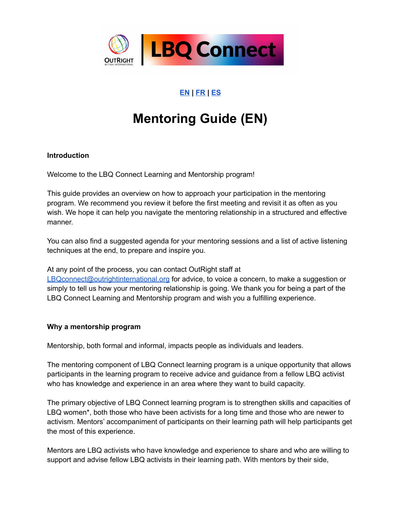

# **[EN](#page-0-0) | [FR](#page-5-0) | [ES](#page-10-0)**

# **Mentoring Guide (EN)**

# <span id="page-0-0"></span>**Introduction**

Welcome to the LBQ Connect Learning and Mentorship program!

This guide provides an overview on how to approach your participation in the mentoring program. We recommend you review it before the first meeting and revisit it as often as you wish. We hope it can help you navigate the mentoring relationship in a structured and effective manner.

You can also find a suggested agenda for your mentoring sessions and a list of active listening techniques at the end, to prepare and inspire you.

At any point of the process, you can contact OutRight staff at [LBQconnect@outrightinternational.org](mailto:LBQconnect@outrightinternational.org) for advice, to voice a concern, to make a suggestion or simply to tell us how your mentoring relationship is going. We thank you for being a part of the LBQ Connect Learning and Mentorship program and wish you a fulfilling experience.

# **Why a mentorship program**

Mentorship, both formal and informal, impacts people as individuals and leaders.

The mentoring component of LBQ Connect learning program is a unique opportunity that allows participants in the learning program to receive advice and guidance from a fellow LBQ activist who has knowledge and experience in an area where they want to build capacity.

The primary objective of LBQ Connect learning program is to strengthen skills and capacities of LBQ women\*, both those who have been activists for a long time and those who are newer to activism. Mentors' accompaniment of participants on their learning path will help participants get the most of this experience.

Mentors are LBQ activists who have knowledge and experience to share and who are willing to support and advise fellow LBQ activists in their learning path. With mentors by their side,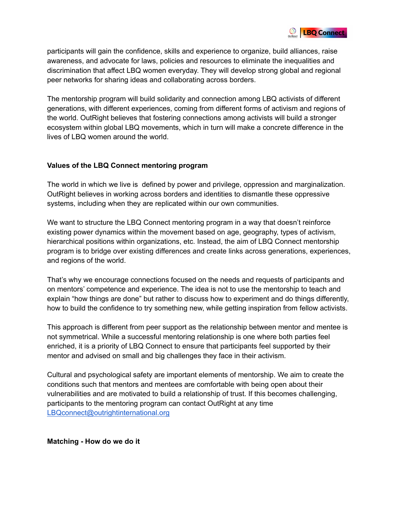

participants will gain the confidence, skills and experience to organize, build alliances, raise awareness, and advocate for laws, policies and resources to eliminate the inequalities and discrimination that affect LBQ women everyday. They will develop strong global and regional peer networks for sharing ideas and collaborating across borders.

The mentorship program will build solidarity and connection among LBQ activists of different generations, with different experiences, coming from different forms of activism and regions of the world. OutRight believes that fostering connections among activists will build a stronger ecosystem within global LBQ movements, which in turn will make a concrete difference in the lives of LBQ women around the world.

# **Values of the LBQ Connect mentoring program**

The world in which we live is defined by power and privilege, oppression and marginalization. OutRight believes in working across borders and identities to dismantle these oppressive systems, including when they are replicated within our own communities.

We want to structure the LBQ Connect mentoring program in a way that doesn't reinforce existing power dynamics within the movement based on age, geography, types of activism, hierarchical positions within organizations, etc. Instead, the aim of LBQ Connect mentorship program is to bridge over existing differences and create links across generations, experiences, and regions of the world.

That's why we encourage connections focused on the needs and requests of participants and on mentors' competence and experience. The idea is not to use the mentorship to teach and explain "how things are done" but rather to discuss how to experiment and do things differently, how to build the confidence to try something new, while getting inspiration from fellow activists.

This approach is different from peer support as the relationship between mentor and mentee is not symmetrical. While a successful mentoring relationship is one where both parties feel enriched, it is a priority of LBQ Connect to ensure that participants feel supported by their mentor and advised on small and big challenges they face in their activism.

Cultural and psychological safety are important elements of mentorship. We aim to create the conditions such that mentors and mentees are comfortable with being open about their vulnerabilities and are motivated to build a relationship of trust. If this becomes challenging, participants to the mentoring program can contact OutRight at any time [LBQconnect@outrightinternational.org](mailto:LBQconnect@outrightinternational.org)

**Matching - How do we do it**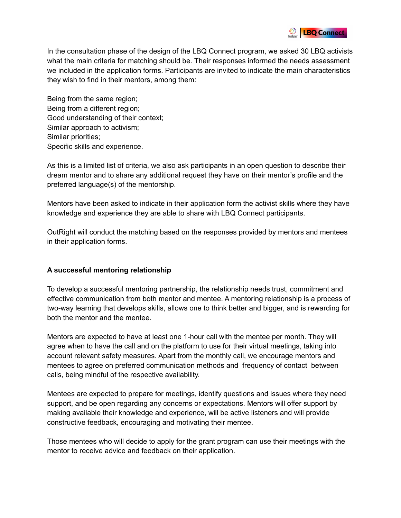

In the consultation phase of the design of the LBQ Connect program, we asked 30 LBQ activists what the main criteria for matching should be. Their responses informed the needs assessment we included in the application forms. Participants are invited to indicate the main characteristics they wish to find in their mentors, among them:

Being from the same region; Being from a different region; Good understanding of their context; Similar approach to activism; Similar priorities; Specific skills and experience.

As this is a limited list of criteria, we also ask participants in an open question to describe their dream mentor and to share any additional request they have on their mentor's profile and the preferred language(s) of the mentorship.

Mentors have been asked to indicate in their application form the activist skills where they have knowledge and experience they are able to share with LBQ Connect participants.

OutRight will conduct the matching based on the responses provided by mentors and mentees in their application forms.

# **A successful mentoring relationship**

To develop a successful mentoring partnership, the relationship needs trust, commitment and effective communication from both mentor and mentee. A mentoring relationship is a process of two-way learning that develops skills, allows one to think better and bigger, and is rewarding for both the mentor and the mentee.

Mentors are expected to have at least one 1-hour call with the mentee per month. They will agree when to have the call and on the platform to use for their virtual meetings, taking into account relevant safety measures. Apart from the monthly call, we encourage mentors and mentees to agree on preferred communication methods and frequency of contact between calls, being mindful of the respective availability.

Mentees are expected to prepare for meetings, identify questions and issues where they need support, and be open regarding any concerns or expectations. Mentors will offer support by making available their knowledge and experience, will be active listeners and will provide constructive feedback, encouraging and motivating their mentee.

Those mentees who will decide to apply for the grant program can use their meetings with the mentor to receive advice and feedback on their application.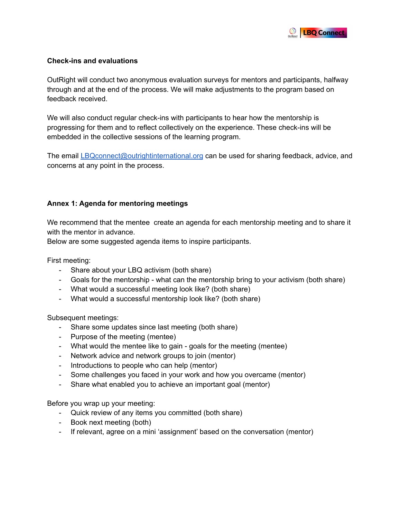

# **Check-ins and evaluations**

OutRight will conduct two anonymous evaluation surveys for mentors and participants, halfway through and at the end of the process. We will make adjustments to the program based on feedback received.

We will also conduct regular check-ins with participants to hear how the mentorship is progressing for them and to reflect collectively on the experience. These check-ins will be embedded in the collective sessions of the learning program.

The email [LBQconnect@outrightinternational.org](mailto:LBQconnect@outrightinternational.org) can be used for sharing feedback, advice, and concerns at any point in the process.

# **Annex 1: Agenda for mentoring meetings**

We recommend that the mentee create an agenda for each mentorship meeting and to share it with the mentor in advance.

Below are some suggested agenda items to inspire participants.

First meeting:

- Share about your LBQ activism (both share)
- Goals for the mentorship what can the mentorship bring to your activism (both share)
- What would a successful meeting look like? (both share)
- What would a successful mentorship look like? (both share)

Subsequent meetings:

- Share some updates since last meeting (both share)
- Purpose of the meeting (mentee)
- What would the mentee like to gain goals for the meeting (mentee)
- Network advice and network groups to join (mentor)
- Introductions to people who can help (mentor)
- Some challenges you faced in your work and how you overcame (mentor)
- Share what enabled you to achieve an important goal (mentor)

Before you wrap up your meeting:

- Quick review of any items you committed (both share)
- Book next meeting (both)
- If relevant, agree on a mini 'assignment' based on the conversation (mentor)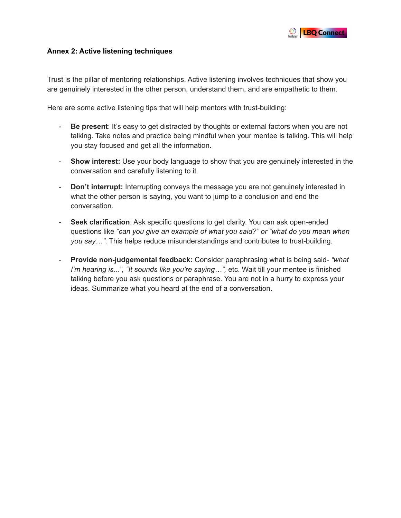

### **Annex 2: Active listening techniques**

Trust is the pillar of mentoring relationships. Active listening involves techniques that show you are genuinely interested in the other person, understand them, and are empathetic to them.

Here are some active listening tips that will help mentors with trust-building:

- **Be present**: It's easy to get distracted by thoughts or external factors when you are not talking. Take notes and practice being mindful when your mentee is talking. This will help you stay focused and get all the information.
- **Show interest:** Use your body language to show that you are genuinely interested in the conversation and carefully listening to it.
- **Don't interrupt:** Interrupting conveys the message you are not genuinely interested in what the other person is saying, you want to jump to a conclusion and end the conversation.
- **Seek clarification**: Ask specific questions to get clarity. You can ask open-ended questions like *"can you give an example of what you said?" or "what do you mean when you say…"*. This helps reduce misunderstandings and contributes to trust-building.
- **Provide non-judgemental feedback:** Consider paraphrasing what is being said- *"what I'm hearing is...", "It sounds like you're saying…",* etc. Wait till your mentee is finished talking before you ask questions or paraphrase. You are not in a hurry to express your ideas. Summarize what you heard at the end of a conversation.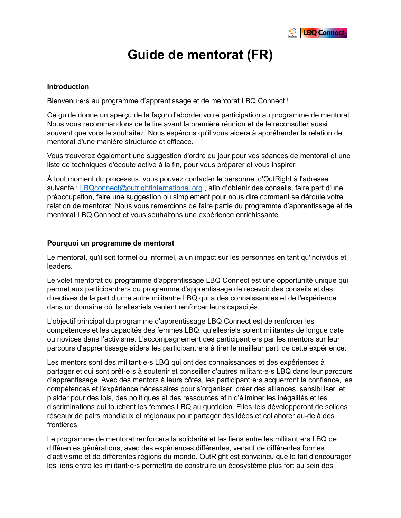

# **Guide de mentorat (FR)**

#### <span id="page-5-0"></span>**Introduction**

Bienvenu·e·s au programme d'apprentissage et de mentorat LBQ Connect !

Ce guide donne un aperçu de la façon d'aborder votre participation au programme de mentorat. Nous vous recommandons de le lire avant la première réunion et de le reconsulter aussi souvent que vous le souhaitez. Nous espérons qu'il vous aidera à appréhender la relation de mentorat d'une manière structurée et efficace.

Vous trouverez également une suggestion d'ordre du jour pour vos séances de mentorat et une liste de techniques d'écoute active à la fin, pour vous préparer et vous inspirer.

À tout moment du processus, vous pouvez contacter le personnel d'OutRight à l'adresse suivante : [LBQconnect@outrightinternational.org](mailto:LBQconnect@outrightinternational.org) , afin d'obtenir des conseils, faire part d'une préoccupation, faire une suggestion ou simplement pour nous dire comment se déroule votre relation de mentorat. Nous vous remercions de faire partie du programme d'apprentissage et de mentorat LBQ Connect et vous souhaitons une expérience enrichissante.

#### **Pourquoi un programme de mentorat**

Le mentorat, qu'il soit formel ou informel, a un impact sur les personnes en tant qu'individus et leaders.

Le volet mentorat du programme d'apprentissage LBQ Connect est une opportunité unique qui permet aux participant·e·s du programme d'apprentissage de recevoir des conseils et des directives de la part d'un·e autre militant·e LBQ qui a des connaissances et de l'expérience dans un domaine où ils·elles·iels veulent renforcer leurs capacités.

L'objectif principal du programme d'apprentissage LBQ Connect est de renforcer les compétences et les capacités des femmes LBQ, qu'elles·iels soient militantes de longue date ou novices dans l'activisme. L'accompagnement des participant·e·s par les mentors sur leur parcours d'apprentissage aidera les participant·e·s à tirer le meilleur parti de cette expérience.

Les mentors sont des militant·e·s LBQ qui ont des connaissances et des expériences à partager et qui sont prêt·e·s à soutenir et conseiller d'autres militant·e·s LBQ dans leur parcours d'apprentissage. Avec des mentors à leurs côtés, les participant·e·s acquerront la confiance, les compétences et l'expérience nécessaires pour s'organiser, créer des alliances, sensibiliser, et plaider pour des lois, des politiques et des ressources afin d'éliminer les inégalités et les discriminations qui touchent les femmes LBQ au quotidien. Elles·Iels développeront de solides réseaux de pairs mondiaux et régionaux pour partager des idées et collaborer au-delà des frontières.

Le programme de mentorat renforcera la solidarité et les liens entre les militant·e·s LBQ de différentes générations, avec des expériences différentes, venant de différentes formes d'activisme et de différentes régions du monde. OutRight est convaincu que le fait d'encourager les liens entre les militant·e·s permettra de construire un écosystème plus fort au sein des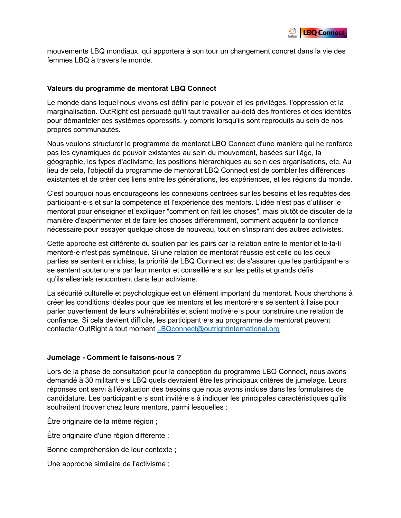

mouvements LBQ mondiaux, qui apportera à son tour un changement concret dans la vie des femmes LBQ à travers le monde.

#### **Valeurs du programme de mentorat LBQ Connect**

Le monde dans lequel nous vivons est défini par le pouvoir et les privilèges, l'oppression et la marginalisation. OutRight est persuadé qu'il faut travailler au-delà des frontières et des identités pour démanteler ces systèmes oppressifs, y compris lorsqu'ils sont reproduits au sein de nos propres communautés.

Nous voulons structurer le programme de mentorat LBQ Connect d'une manière qui ne renforce pas les dynamiques de pouvoir existantes au sein du mouvement, basées sur l'âge, la géographie, les types d'activisme, les positions hiérarchiques au sein des organisations, etc. Au lieu de cela, l'objectif du programme de mentorat LBQ Connect est de combler les différences existantes et de créer des liens entre les générations, les expériences, et les régions du monde.

C'est pourquoi nous encourageons les connexions centrées sur les besoins et les requêtes des participant·e·s et sur la compétence et l'expérience des mentors. L'idée n'est pas d'utiliser le mentorat pour enseigner et expliquer "comment on fait les choses", mais plutôt de discuter de la manière d'expérimenter et de faire les choses différemment, comment acquérir la confiance nécessaire pour essayer quelque chose de nouveau, tout en s'inspirant des autres activistes.

Cette approche est différente du soutien par les pairs car la relation entre le mentor et le·la·li mentoré·e n'est pas symétrique. Si une relation de mentorat réussie est celle où les deux parties se sentent enrichies, la priorité de LBQ Connect est de s'assurer que les participant·e·s se sentent soutenu·e·s par leur mentor et conseillé·e·s sur les petits et grands défis qu'ils·elles·iels rencontrent dans leur activisme.

La sécurité culturelle et psychologique est un élément important du mentorat. Nous cherchons à créer les conditions idéales pour que les mentors et les mentoré·e·s se sentent à l'aise pour parler ouvertement de leurs vulnérabilités et soient motivé·e·s pour construire une relation de confiance. Si cela devient difficile, les participant·e·s au programme de mentorat peuvent contacter OutRight à tout moment [LBQconnect@outrightinternational.org](mailto:LBQconnect@outrightinternational.org)

#### **Jumelage - Comment le faisons-nous ?**

Lors de la phase de consultation pour la conception du programme LBQ Connect, nous avons demandé à 30 militant·e·s LBQ quels devraient être les principaux critères de jumelage. Leurs réponses ont servi à l'évaluation des besoins que nous avons incluse dans les formulaires de candidature. Les participant·e·s sont invité·e·s à indiquer les principales caractéristiques qu'ils souhaitent trouver chez leurs mentors, parmi lesquelles :

Être originaire de la même région ;

Être originaire d'une région différente ;

Bonne compréhension de leur contexte ;

Une approche similaire de l'activisme ;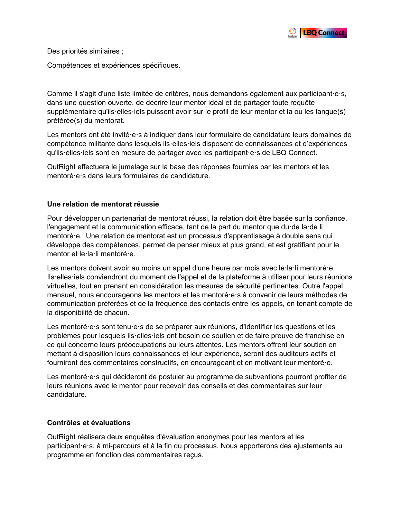

Des priorités similaires ;

Compétences et expériences spécifiques.

Comme il s'agit d'une liste limitée de critères, nous demandons également aux participant·e·s, dans une question ouverte, de décrire leur mentor idéal et de partager toute requête supplémentaire qu'ils·elles·iels puissent avoir sur le profil de leur mentor et la ou les langue(s) préférée(s) du mentorat.

Les mentors ont été invité·e·s à indiquer dans leur formulaire de candidature leurs domaines de compétence militante dans lesquels ils·elles·iels disposent de connaissances et d'expériences qu'ils·elles·iels sont en mesure de partager avec les participant·e·s de LBQ Connect.

OutRight effectuera le jumelage sur la base des réponses fournies par les mentors et les mentoré·e·s dans leurs formulaires de candidature.

#### **Une relation de mentorat réussie**

Pour développer un partenariat de mentorat réussi, la relation doit être basée sur la confiance, l'engagement et la communication efficace, tant de la part du mentor que du·de la·de li mentoré·e. Une relation de mentorat est un processus d'apprentissage à double sens qui développe des compétences, permet de penser mieux et plus grand, et est gratifiant pour le mentor et le·la·li mentoré·e.

Les mentors doivent avoir au moins un appel d'une heure par mois avec le·la·li mentoré·e. Ils·elles·iels conviendront du moment de l'appel et de la plateforme à utiliser pour leurs réunions virtuelles, tout en prenant en considération les mesures de sécurité pertinentes. Outre l'appel mensuel, nous encourageons les mentors et les mentoré·e·s à convenir de leurs méthodes de communication préférées et de la fréquence des contacts entre les appels, en tenant compte de la disponibilité de chacun.

Les mentoré e s sont tenu e s de se préparer aux réunions, d'identifier les questions et les problèmes pour lesquels ils·elles·iels ont besoin de soutien et de faire preuve de franchise en ce qui concerne leurs préoccupations ou leurs attentes. Les mentors offrent leur soutien en mettant à disposition leurs connaissances et leur expérience, seront des auditeurs actifs et fourniront des commentaires constructifs, en encourageant et en motivant leur mentoré·e.

Les mentoré e s qui décideront de postuler au programme de subventions pourront profiter de leurs réunions avec le mentor pour recevoir des conseils et des commentaires sur leur candidature.

# **Contrôles et évaluations**

OutRight réalisera deux enquêtes d'évaluation anonymes pour les mentors et les participant·e·s, à mi-parcours et à la fin du processus. Nous apporterons des ajustements au programme en fonction des commentaires reçus.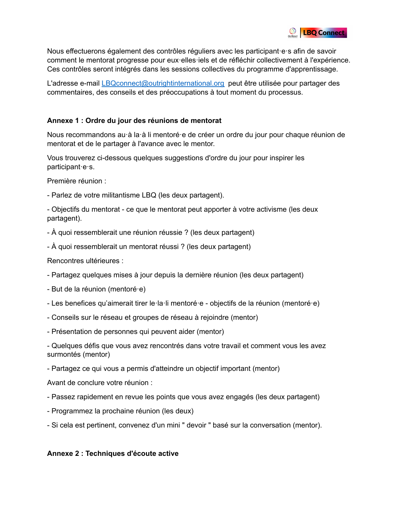

Nous effectuerons également des contrôles réguliers avec les participant·e·s afin de savoir comment le mentorat progresse pour eux·elles·iels et de réfléchir collectivement à l'expérience. Ces contrôles seront intégrés dans les sessions collectives du programme d'apprentissage.

L'adresse e-mail [LBQconnect@outrightinternational.org](mailto:LBQconnect@outrightinternational.org) peut être utilisée pour partager des commentaires, des conseils et des préoccupations à tout moment du processus.

# **Annexe 1 : Ordre du jour des réunions de mentorat**

Nous recommandons au·à la·à li mentoré·e de créer un ordre du jour pour chaque réunion de mentorat et de le partager à l'avance avec le mentor.

Vous trouverez ci-dessous quelques suggestions d'ordre du jour pour inspirer les participant·e·s.

Première réunion :

- Parlez de votre militantisme LBQ (les deux partagent).

- Objectifs du mentorat - ce que le mentorat peut apporter à votre activisme (les deux partagent).

- À quoi ressemblerait une réunion réussie ? (les deux partagent)
- À quoi ressemblerait un mentorat réussi ? (les deux partagent)

Rencontres ultérieures :

- Partagez quelques mises à jour depuis la dernière réunion (les deux partagent)
- But de la réunion (mentoré·e)
- Les benefices qu'aimerait tirer le·la·li mentoré·e objectifs de la réunion (mentoré·e)
- Conseils sur le réseau et groupes de réseau à rejoindre (mentor)
- Présentation de personnes qui peuvent aider (mentor)

- Quelques défis que vous avez rencontrés dans votre travail et comment vous les avez surmontés (mentor)

- Partagez ce qui vous a permis d'atteindre un objectif important (mentor)

Avant de conclure votre réunion :

- Passez rapidement en revue les points que vous avez engagés (les deux partagent)
- Programmez la prochaine réunion (les deux)
- Si cela est pertinent, convenez d'un mini " devoir " basé sur la conversation (mentor).

# **Annexe 2 : Techniques d'écoute active**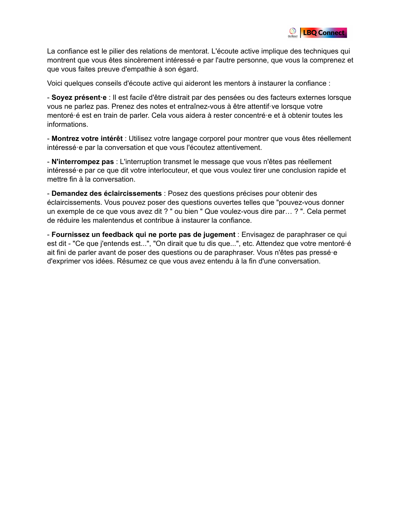

La confiance est le pilier des relations de mentorat. L'écoute active implique des techniques qui montrent que vous êtes sincèrement intéressé·e par l'autre personne, que vous la comprenez et que vous faites preuve d'empathie à son égard.

Voici quelques conseils d'écoute active qui aideront les mentors à instaurer la confiance :

- **Soyez présent·e** : Il est facile d'être distrait par des pensées ou des facteurs externes lorsque vous ne parlez pas. Prenez des notes et entraînez-vous à être attentif·ve lorsque votre mentoré·é est en train de parler. Cela vous aidera à rester concentré·e et à obtenir toutes les informations.

- **Montrez votre intérêt** : Utilisez votre langage corporel pour montrer que vous êtes réellement intéressé·e par la conversation et que vous l'écoutez attentivement.

- **N'interrompez pas** : L'interruption transmet le message que vous n'êtes pas réellement intéressé·e par ce que dit votre interlocuteur, et que vous voulez tirer une conclusion rapide et mettre fin à la conversation.

- **Demandez des éclaircissements** : Posez des questions précises pour obtenir des éclaircissements. Vous pouvez poser des questions ouvertes telles que "pouvez-vous donner un exemple de ce que vous avez dit ? " ou bien " Que voulez-vous dire par… ? ". Cela permet de réduire les malentendus et contribue à instaurer la confiance.

- **Fournissez un feedback qui ne porte pas de jugement** : Envisagez de paraphraser ce qui est dit - "Ce que j'entends est...", "On dirait que tu dis que...", etc. Attendez que votre mentoré·é ait fini de parler avant de poser des questions ou de paraphraser. Vous n'êtes pas pressé·e d'exprimer vos idées. Résumez ce que vous avez entendu à la fin d'une conversation.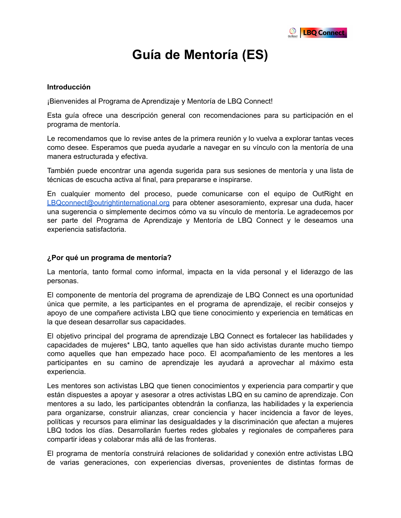

# **Guía de Mentoría (ES)**

#### <span id="page-10-0"></span>**Introducción**

¡Bienvenides al Programa de Aprendizaje y Mentoría de LBQ Connect!

Esta guía ofrece una descripción general con recomendaciones para su participación en el programa de mentoría.

Le recomendamos que lo revise antes de la primera reunión y lo vuelva a explorar tantas veces como desee. Esperamos que pueda ayudarle a navegar en su vínculo con la mentoría de una manera estructurada y efectiva.

También puede encontrar una agenda sugerida para sus sesiones de mentoría y una lista de técnicas de escucha activa al final, para prepararse e inspirarse.

En cualquier momento del proceso, puede comunicarse con el equipo de OutRight en [LBQconnect@outrightinternational.org](mailto:LBQconnect@outrightinternational.org) para obtener asesoramiento, expresar una duda, hacer una sugerencia o simplemente decirnos cómo va su vínculo de mentoría. Le agradecemos por ser parte del Programa de Aprendizaje y Mentoría de LBQ Connect y le deseamos una experiencia satisfactoria.

#### **¿Por qué un programa de mentoría?**

La mentoría, tanto formal como informal, impacta en la vida personal y el liderazgo de las personas.

El componente de mentoría del programa de aprendizaje de LBQ Connect es una oportunidad única que permite, a les participantes en el programa de aprendizaje, el recibir consejos y apoyo de une compañere activista LBQ que tiene conocimiento y experiencia en temáticas en la que desean desarrollar sus capacidades.

El objetivo principal del programa de aprendizaje LBQ Connect es fortalecer las habilidades y capacidades de mujeres\* LBQ, tanto aquelles que han sido activistas durante mucho tiempo como aquelles que han empezado hace poco. El acompañamiento de les mentores a les participantes en su camino de aprendizaje les ayudará a aprovechar al máximo esta experiencia.

Les mentores son activistas LBQ que tienen conocimientos y experiencia para compartir y que están dispuestes a apoyar y asesorar a otres activistas LBQ en su camino de aprendizaje. Con mentores a su lado, les participantes obtendrán la confianza, las habilidades y la experiencia para organizarse, construir alianzas, crear conciencia y hacer incidencia a favor de leyes, políticas y recursos para eliminar las desigualdades y la discriminación que afectan a mujeres LBQ todos los días. Desarrollarán fuertes redes globales y regionales de compañeres para compartir ideas y colaborar más allá de las fronteras.

El programa de mentoría construirá relaciones de solidaridad y conexión entre activistas LBQ de varias generaciones, con experiencias diversas, provenientes de distintas formas de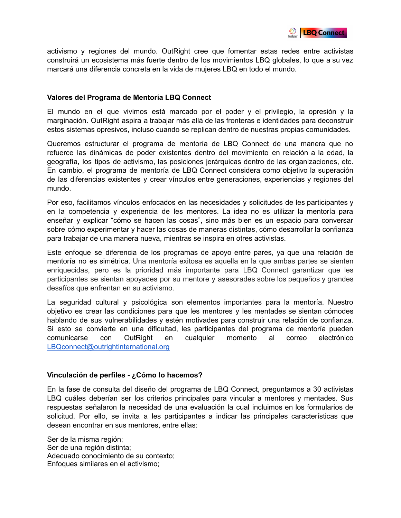

activismo y regiones del mundo. OutRight cree que fomentar estas redes entre activistas construirá un ecosistema más fuerte dentro de los movimientos LBQ globales, lo que a su vez marcará una diferencia concreta en la vida de mujeres LBQ en todo el mundo.

#### **Valores del Programa de Mentoría LBQ Connect**

El mundo en el que vivimos está marcado por el poder y el privilegio, la opresión y la marginación. OutRight aspira a trabajar más allá de las fronteras e identidades para deconstruir estos sistemas opresivos, incluso cuando se replican dentro de nuestras propias comunidades.

Queremos estructurar el programa de mentoría de LBQ Connect de una manera que no refuerce las dinámicas de poder existentes dentro del movimiento en relación a la edad, la geografía, los tipos de activismo, las posiciones jerárquicas dentro de las organizaciones, etc. En cambio, el programa de mentoría de LBQ Connect considera como objetivo la superación de las diferencias existentes y crear vínculos entre generaciones, experiencias y regiones del mundo.

Por eso, facilitamos vínculos enfocados en las necesidades y solicitudes de les participantes y en la competencia y experiencia de les mentores. La idea no es utilizar la mentoría para enseñar y explicar "cómo se hacen las cosas", sino más bien es un espacio para conversar sobre cómo experimentar y hacer las cosas de maneras distintas, cómo desarrollar la confianza para trabajar de una manera nueva, mientras se inspira en otres activistas.

Este enfoque se diferencia de los programas de apoyo entre pares, ya que una relación de mentoría no es simétrica. Una mentoría exitosa es aquella en la que ambas partes se sienten enriquecidas, pero es la prioridad más importante para LBQ Connect garantizar que les participantes se sientan apoyades por su mentore y asesorades sobre los pequeños y grandes desafíos que enfrentan en su activismo.

La seguridad cultural y psicológica son elementos importantes para la mentoría. Nuestro objetivo es crear las condiciones para que les mentores y les mentades se sientan cómodes hablando de sus vulnerabilidades y estén motivades para construir una relación de confianza. Si esto se convierte en una dificultad, les participantes del programa de mentoría pueden comunicarse con OutRight en cualquier momento al correo electrónico [LBQconnect@outrightinternational.org](mailto:LBQconnect@outrightinternational.org)

#### **Vinculación de perfiles - ¿Cómo lo hacemos?**

En la fase de consulta del diseño del programa de LBQ Connect, preguntamos a 30 activistas LBQ cuáles deberían ser los criterios principales para vincular a mentores y mentades. Sus respuestas señalaron la necesidad de una evaluación la cual incluimos en los formularios de solicitud. Por ello, se invita a les participantes a indicar las principales características que desean encontrar en sus mentores, entre ellas:

Ser de la misma región; Ser de una región distinta; Adecuado conocimiento de su contexto; Enfoques similares en el activismo;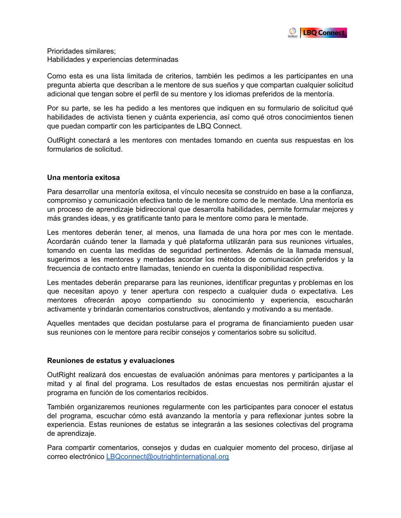

Prioridades similares; Habilidades y experiencias determinadas

Como esta es una lista limitada de criterios, también les pedimos a les participantes en una pregunta abierta que describan a le mentore de sus sueños y que compartan cualquier solicitud adicional que tengan sobre el perfil de su mentore y los idiomas preferidos de la mentoría.

Por su parte, se les ha pedido a les mentores que indiquen en su formulario de solicitud qué habilidades de activista tienen y cuánta experiencia, así como qué otros conocimientos tienen que puedan compartir con les participantes de LBQ Connect.

OutRight conectará a les mentores con mentades tomando en cuenta sus respuestas en los formularios de solicitud.

#### **Una mentoría exitosa**

Para desarrollar una mentoría exitosa, el vínculo necesita se construido en base a la confianza, compromiso y comunicación efectiva tanto de le mentore como de le mentade. Una mentoría es un proceso de aprendizaje bidireccional que desarrolla habilidades, permite formular mejores y más grandes ideas, y es gratificante tanto para le mentore como para le mentade.

Les mentores deberán tener, al menos, una llamada de una hora por mes con le mentade. Acordarán cuándo tener la llamada y qué plataforma utilizarán para sus reuniones virtuales, tomando en cuenta las medidas de seguridad pertinentes. Además de la llamada mensual, sugerimos a les mentores y mentades acordar los métodos de comunicación preferidos y la frecuencia de contacto entre llamadas, teniendo en cuenta la disponibilidad respectiva.

Les mentades deberán prepararse para las reuniones, identificar preguntas y problemas en los que necesitan apoyo y tener apertura con respecto a cualquier duda o expectativa. Les mentores ofrecerán apoyo compartiendo su conocimiento y experiencia, escucharán activamente y brindarán comentarios constructivos, alentando y motivando a su mentade.

Aquelles mentades que decidan postularse para el programa de financiamiento pueden usar sus reuniones con le mentore para recibir consejos y comentarios sobre su solicitud.

#### **Reuniones de estatus y evaluaciones**

OutRight realizará dos encuestas de evaluación anónimas para mentores y participantes a la mitad y al final del programa. Los resultados de estas encuestas nos permitirán ajustar el programa en función de los comentarios recibidos.

También organizaremos reuniones regularmente con les participantes para conocer el estatus del programa, escuchar cómo está avanzando la mentoría y para reflexionar juntes sobre la experiencia. Estas reuniones de estatus se integrarán a las sesiones colectivas del programa de aprendizaje.

Para compartir comentarios, consejos y dudas en cualquier momento del proceso, diríjase al correo electrónico [LBQconnect@outrightinternational.org](mailto:LBQconnect@outrightinternational.org)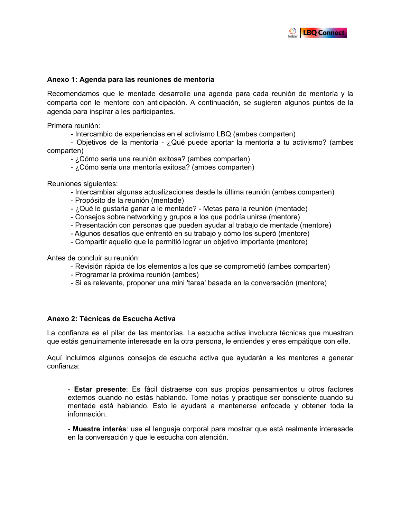

#### **Anexo 1: Agenda para las reuniones de mentoría**

Recomendamos que le mentade desarrolle una agenda para cada reunión de mentoría y la comparta con le mentore con anticipación. A continuación, se sugieren algunos puntos de la agenda para inspirar a les participantes.

Primera reunión:

- Intercambio de experiencias en el activismo LBQ (ambes comparten)

- Objetivos de la mentoría - ¿Qué puede aportar la mentoría a tu activismo? (ambes comparten)

- ¿Cómo sería una reunión exitosa? (ambes comparten)
- ¿Cómo sería una mentoría exitosa? (ambes comparten)

Reuniones siguientes:

- Intercambiar algunas actualizaciones desde la última reunión (ambes comparten)
- Propósito de la reunión (mentade)
- ¿Qué le gustaría ganar a le mentade? Metas para la reunión (mentade)
- Consejos sobre networking y grupos a los que podría unirse (mentore)
- Presentación con personas que pueden ayudar al trabajo de mentade (mentore)
- Algunos desafíos que enfrentó en su trabajo y cómo los superó (mentore)
- Compartir aquello que le permitió lograr un objetivo importante (mentore)

Antes de concluir su reunión:

- Revisión rápida de los elementos a los que se comprometió (ambes comparten)
- Programar la próxima reunión (ambes)
- Si es relevante, proponer una mini 'tarea' basada en la conversación (mentore)

#### **Anexo 2: Técnicas de Escucha Activa**

La confianza es el pilar de las mentorías. La escucha activa involucra técnicas que muestran que estás genuinamente interesade en la otra persona, le entiendes y eres empátique con elle.

Aquí incluimos algunos consejos de escucha activa que ayudarán a les mentores a generar confianza:

- **Estar presente**: Es fácil distraerse con sus propios pensamientos u otros factores externos cuando no estás hablando. Tome notas y practique ser consciente cuando su mentade está hablando. Esto le ayudará a mantenerse enfocade y obtener toda la información.

- **Muestre interés**: use el lenguaje corporal para mostrar que está realmente interesade en la conversación y que le escucha con atención.